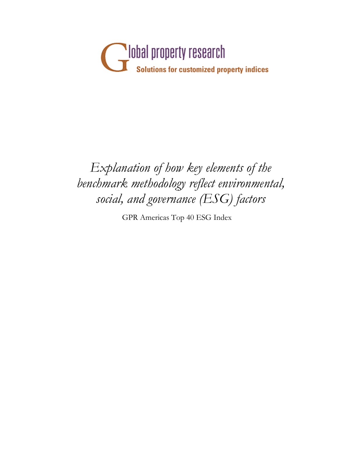

## *Explanation of how key elements of the benchmark methodology reflect environmental, social, and governance (ESG) factors*

GPR Americas Top 40 ESG Index